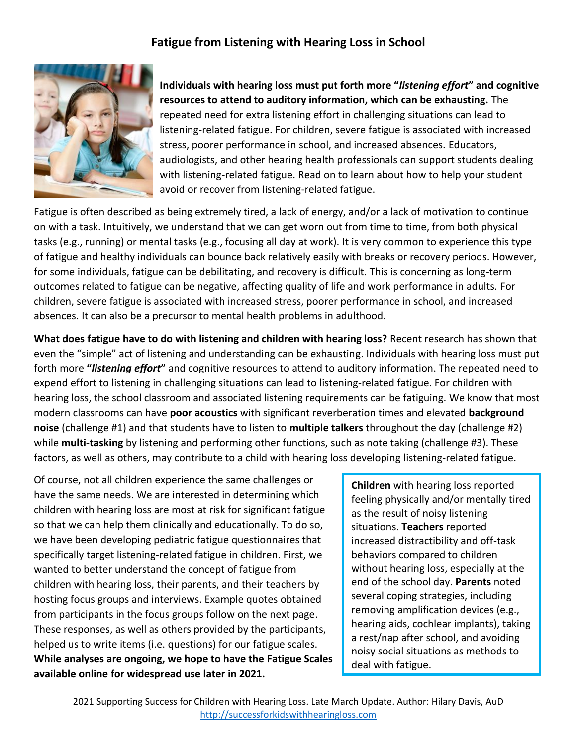## **Fatigue from Listening with Hearing Loss in School**



**Individuals with hearing loss must put forth more "***listening effort***" and cognitive resources to attend to auditory information, which can be exhausting.** The repeated need for extra listening effort in challenging situations can lead to listening-related fatigue. For children, severe fatigue is associated with increased stress, poorer performance in school, and increased absences. Educators, audiologists, and other hearing health professionals can support students dealing with listening-related fatigue. Read on to learn about how to help your student avoid or recover from listening-related fatigue.

Fatigue is often described as being extremely tired, a lack of energy, and/or a lack of motivation to continue on with a task. Intuitively, we understand that we can get worn out from time to time, from both physical tasks (e.g., running) or mental tasks (e.g., focusing all day at work). It is very common to experience this type of fatigue and healthy individuals can bounce back relatively easily with breaks or recovery periods. However, for some individuals, fatigue can be debilitating, and recovery is difficult. This is concerning as long-term outcomes related to fatigue can be negative, affecting quality of life and work performance in adults. For children, severe fatigue is associated with increased stress, poorer performance in school, and increased absences. It can also be a precursor to mental health problems in adulthood.

**What does fatigue have to do with listening and children with hearing loss?** Recent research has shown that even the "simple" act of listening and understanding can be exhausting. Individuals with hearing loss must put forth more **"***listening effort***"** and cognitive resources to attend to auditory information. The repeated need to expend effort to listening in challenging situations can lead to listening-related fatigue. For children with hearing loss, the school classroom and associated listening requirements can be fatiguing. We know that most modern classrooms can have **poor acoustics** with significant reverberation times and elevated **background noise** (challenge #1) and that students have to listen to **multiple talkers** throughout the day (challenge #2) while **multi-tasking** by listening and performing other functions, such as note taking (challenge #3). These factors, as well as others, may contribute to a child with hearing loss developing listening-related fatigue.

Of course, not all children experience the same challenges or have the same needs. We are interested in determining which children with hearing loss are most at risk for significant fatigue so that we can help them clinically and educationally. To do so, we have been developing pediatric fatigue questionnaires that specifically target listening-related fatigue in children. First, we wanted to better understand the concept of fatigue from children with hearing loss, their parents, and their teachers by hosting focus groups and interviews. Example quotes obtained from participants in the focus groups follow on the next page. These responses, as well as others provided by the participants, helped us to write items (i.e. questions) for our fatigue scales. **While analyses are ongoing, we hope to have the Fatigue Scales available online for widespread use later in 2021.**

**Children** with hearing loss reported feeling physically and/or mentally tired as the result of noisy listening situations. **Teachers** reported increased distractibility and off-task behaviors compared to children without hearing loss, especially at the end of the school day. **Parents** noted several coping strategies, including removing amplification devices (e.g., hearing aids, cochlear implants), taking a rest/nap after school, and avoiding noisy social situations as methods to deal with fatigue.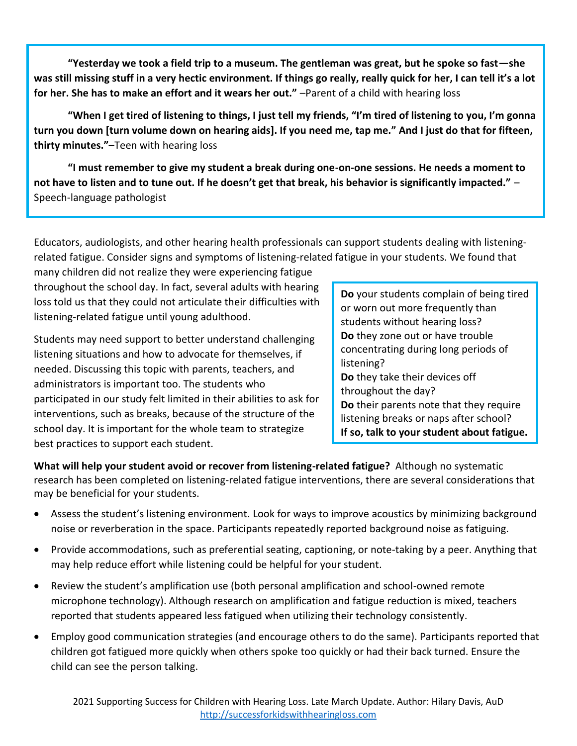**"Yesterday we took a field trip to a museum. The gentleman was great, but he spoke so fast—she was still missing stuff in a very hectic environment. If things go really, really quick for her, I can tell it's a lot for her. She has to make an effort and it wears her out."** –Parent of a child with hearing loss

**"When I get tired of listening to things, I just tell my friends, "I'm tired of listening to you, I'm gonna turn you down [turn volume down on hearing aids]. If you need me, tap me." And I just do that for fifteen, thirty minutes."**–Teen with hearing loss

**"I must remember to give my student a break during one-on-one sessions. He needs a moment to not have to listen and to tune out. If he doesn't get that break, his behavior is significantly impacted."** – Speech-language pathologist

Educators, audiologists, and other hearing health professionals can support students dealing with listeningrelated fatigue. Consider signs and symptoms of listening-related fatigue in your students. We found that

many children did not realize they were experiencing fatigue throughout the school day. In fact, several adults with hearing loss told us that they could not articulate their difficulties with listening-related fatigue until young adulthood.

Students may need support to better understand challenging listening situations and how to advocate for themselves, if needed. Discussing this topic with parents, teachers, and administrators is important too. The students who participated in our study felt limited in their abilities to ask for interventions, such as breaks, because of the structure of the school day. It is important for the whole team to strategize best practices to support each student.

**Do** your students complain of being tired or worn out more frequently than students without hearing loss? **Do** they zone out or have trouble concentrating during long periods of listening? **Do** they take their devices off throughout the day? **Do** their parents note that they require listening breaks or naps after school? **If so, talk to your student about fatigue.**

**What will help your student avoid or recover from listening-related fatigue?** Although no systematic research has been completed on listening-related fatigue interventions, there are several considerations that may be beneficial for your students.

- Assess the student's listening environment. Look for ways to improve acoustics by minimizing background noise or reverberation in the space. Participants repeatedly reported background noise as fatiguing.
- Provide accommodations, such as preferential seating, captioning, or note-taking by a peer. Anything that may help reduce effort while listening could be helpful for your student.
- Review the student's amplification use (both personal amplification and school-owned remote microphone technology). Although research on amplification and fatigue reduction is mixed, teachers reported that students appeared less fatigued when utilizing their technology consistently.
- Employ good communication strategies (and encourage others to do the same). Participants reported that children got fatigued more quickly when others spoke too quickly or had their back turned. Ensure the child can see the person talking.